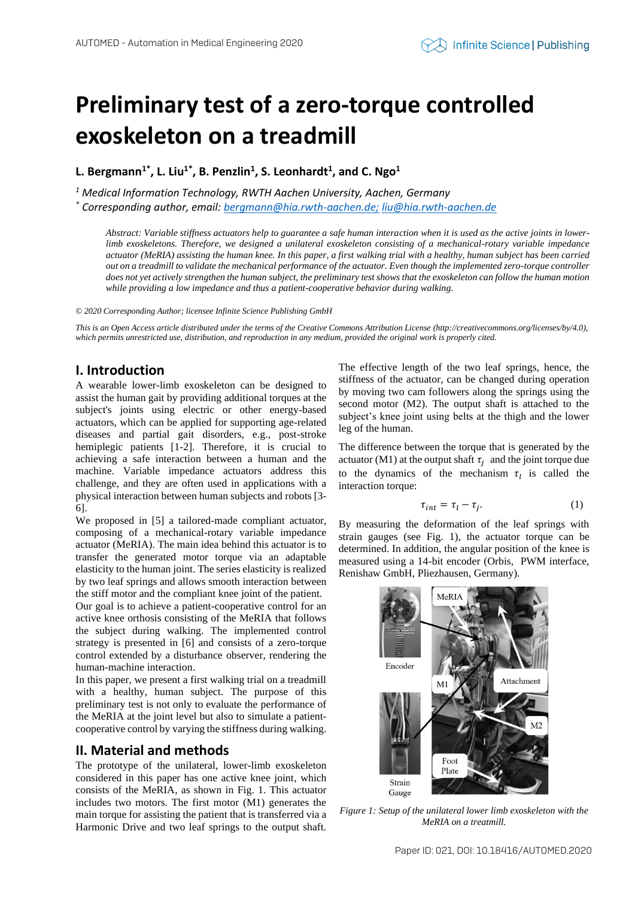# **Preliminary test of a zero-torque controlled exoskeleton on a treadmill**

**L. Bergmann1\* , L. Liu1\* , B. Penzlin<sup>1</sup> , S. Leonhardt<sup>1</sup> , and C. Ngo<sup>1</sup>**

*<sup>1</sup> Medical Information Technology, RWTH Aachen University, Aachen, Germany*

*\* Corresponding author, email[: bergmann@hia.rwth-aachen.de;](mailto:bergmann@hia.rwth-aachen.de) [liu@hia.rwth-aachen.de](mailto:liu@hia.rwth-aachen.de)*

*Abstract: Variable stiffness actuators help to guarantee a safe human interaction when it is used as the active joints in lowerlimb exoskeletons. Therefore, we designed a unilateral exoskeleton consisting of a mechanical-rotary variable impedance actuator (MeRIA) assisting the human knee. In this paper, a first walking trial with a healthy, human subject has been carried out on a treadmill to validate the mechanical performance of the actuator. Even though the implemented zero-torque controller does not yet actively strengthen the human subject, the preliminary test shows that the exoskeleton can follow the human motion while providing a low impedance and thus a patient-cooperative behavior during walking.* 

#### *© 2020 Corresponding Author; licensee Infinite Science Publishing GmbH*

*This is an Open Access article distributed under the terms of the Creative Commons Attribution License (http://creativecommons.org/licenses/by/4.0),*  which permits unrestricted use, distribution, and reproduction in any medium, provided the original work is properly cited.

# **I. Introduction**

A wearable lower-limb exoskeleton can be designed to assist the human gait by providing additional torques at the subject's joints using electric or other energy-based actuators, which can be applied for supporting age-related diseases and partial gait disorders, e.g., post-stroke hemiplegic patients [1-2]. Therefore, it is crucial to achieving a safe interaction between a human and the machine. Variable impedance actuators address this challenge, and they are often used in applications with a physical interaction between human subjects and robots [3- 6].

We proposed in [5] a tailored-made compliant actuator, composing of a mechanical-rotary variable impedance actuator (MeRIA). The main idea behind this actuator is to transfer the generated motor torque via an adaptable elasticity to the human joint. The series elasticity is realized by two leaf springs and allows smooth interaction between the stiff motor and the compliant knee joint of the patient. Our goal is to achieve a patient-cooperative control for an active knee orthosis consisting of the MeRIA that follows the subject during walking. The implemented control strategy is presented in [6] and consists of a zero-torque control extended by a disturbance observer, rendering the human-machine interaction.

In this paper, we present a first walking trial on a treadmill with a healthy, human subject. The purpose of this preliminary test is not only to evaluate the performance of the MeRIA at the joint level but also to simulate a patientcooperative control by varying the stiffness during walking.

### **II. Material and methods**

The prototype of the unilateral, lower-limb exoskeleton considered in this paper has one active knee joint, which consists of the MeRIA, as shown in Fig. 1. This actuator includes two motors. The first motor (M1) generates the main torque for assisting the patient that is transferred via a Harmonic Drive and two leaf springs to the output shaft.

The effective length of the two leaf springs, hence, the stiffness of the actuator, can be changed during operation by moving two cam followers along the springs using the second motor (M2). The output shaft is attached to the subject's knee joint using belts at the thigh and the lower leg of the human.

The difference between the torque that is generated by the actuator (M1) at the output shaft  $\tau_j$  and the joint torque due to the dynamics of the mechanism  $\tau_l$  is called the interaction torque:

$$
\tau_{int} = \tau_l - \tau_j. \tag{1}
$$

By measuring the deformation of the leaf springs with strain gauges (see Fig. 1), the actuator torque can be determined. In addition, the angular position of the knee is measured using a 14-bit encoder (Orbis, PWM interface, Renishaw GmbH, Pliezhausen, Germany).



*Figure 1: Setup of the unilateral lower limb exoskeleton with the MeRIA on a treatmill.*